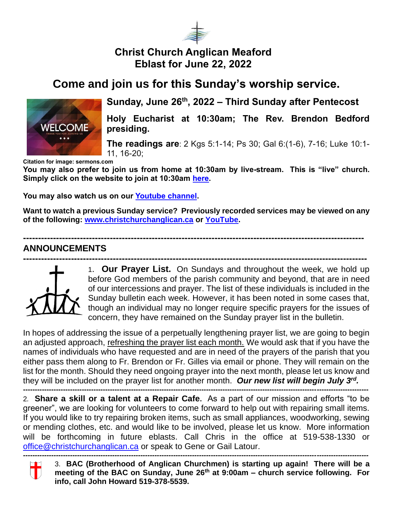

## **Christ Church Anglican Meaford Eblast for June 22, 2022**

## **Come and join us for this Sunday's worship service.**



### **Sunday, June 26th, 2022 – Third Sunday after Pentecost**

**Holy Eucharist at 10:30am; The Rev. Brendon Bedford presiding.**

**The readings are**: 2 Kgs 5:1-14; Ps 30; Gal 6:(1-6), 7-16; Luke 10:1- 11, 16-20;

**Citation for image: sermons.com**

**You may also prefer to join us from home at 10:30am by live-stream. This is "live" church. Simply click on the website to join at 10:30am [here.](https://christchurchanglican.ca/)** 

**You may also watch us on our [Youtube channel.](https://www.youtube.com/playlist?list=PL_K_skDetjaA7oeKPxsvRmuoEcKBTkW5D)** 

**Want to watch a previous Sunday service? Previously recorded services may be viewed on any of the following: [www.christchurchanglican.ca](http://www.christchurchanglican.ca/) or [YouTube.](https://www.youtube.com/channel/UCcJHYZ4ZTnJDu7skpcd4O5A)** 

**------------------------------------------------------------------------------------------------------------------**

### **ANNOUNCEMENTS**



1. **Our Prayer List.** On Sundays and throughout the week, we hold up before God members of the parish community and beyond, that are in need of our intercessions and prayer. The list of these individuals is included in the Sunday bulletin each week. However, it has been noted in some cases that, though an individual may no longer require specific prayers for the issues of concern, they have remained on the Sunday prayer list in the bulletin.

In hopes of addressing the issue of a perpetually lengthening prayer list, we are going to begin an adjusted approach, refreshing the prayer list each month. We would ask that if you have the names of individuals who have requested and are in need of the prayers of the parish that you either pass them along to Fr. Brendon or Fr. Gilles via email or phone. They will remain on the list for the month. Should they need ongoing prayer into the next month, please let us know and they will be included on the prayer list for another month. *Our new list will begin July 3rd .*

**---------------------------------------------------------------------------------------------------------------------------------------------------** 2*.* **Share a skill or a talent at a Repair Cafe.** As a part of our mission and efforts "to be greener", we are looking for volunteers to come forward to help out with repairing small items. If you would like to try repairing broken items, such as small appliances, woodworking, sewing or mending clothes, etc. and would like to be involved, please let us know. More information will be forthcoming in future eblasts. Call Chris in the office at 519-538-1330 or [office@christchurchanglican.ca](mailto:office@christchurchanglican.ca) or speak to Gene or Gail Latour.

T  $\Box$ 

*---------------------------------------------------------------------------------------------------------------------------------------------------* 3. **BAC (Brotherhood of Anglican Churchmen) is starting up again! There will be a meeting of the BAC on Sunday, June 26th at 9:00am – church service following. For info, call John Howard 519-378-5539.**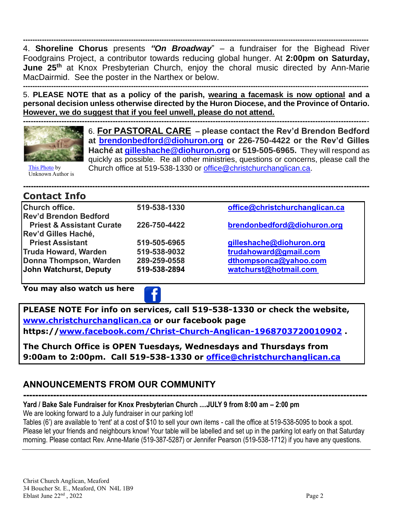**---------------------------------------------------------------------------------------------------------------------------------------------------** 4. **Shoreline Chorus** presents *"On Broadway*" – a fundraiser for the Bighead River Foodgrains Project, a contributor towards reducing global hunger. At **2:00pm on Saturday, June 25th** at Knox Presbyterian Church, enjoy the choral music directed by Ann-Marie MacDairmid. See the poster in the Narthex or below.

**---------------------------------------------------------------------------------------------------------------------------------------------------** 5. **PLEASE NOTE that as a policy of the parish, wearing a facemask is now optional and a personal decision unless otherwise directed by the Huron Diocese, and the Province of Ontario. However, we do suggest that if you feel unwell, please do not attend.** 



6. **For PASTORAL CARE – please contact the Rev'd Brendon Bedford at [brendonbedford@diohuron.org](mailto:brendonbedford@diohuron.org) or 226-750-4422 or the Rev'd Gilles Haché at [gilleshache@diohuron.org](mailto:gilleshache@diohuron.org) or 519-505-6965.** They will respond as quickly as possible. Re all other ministries, questions or concerns, please call the Church office at 519-538-1330 or [office@christchurchanglican.ca.](mailto:office@christchurchanglican.ca)

[This Photo](http://www.bchumanist.ca/should_medical_assistance_in_dying_be_available_for_people_with_existential_suffering) by Unknown Author is

#### **-[---------](https://creativecommons.org/licenses/by-sa/3.0/)----------------------------------------------------------------------------------------------------------------------------- Contact Info**

| <b>Church office.</b>                | 519-538-1330 | office@christchurchanglican.ca |
|--------------------------------------|--------------|--------------------------------|
| <b>Rev'd Brendon Bedford</b>         |              |                                |
| <b>Priest &amp; Assistant Curate</b> | 226-750-4422 | brendonbedford@diohuron.org    |
| Rev'd Gilles Haché,                  |              |                                |
| <b>Priest Assistant</b>              | 519-505-6965 | gilleshache@diohuron.org       |
| <b>Truda Howard, Warden</b>          | 519-538-9032 | trudahoward@gmail.com          |
| Donna Thompson, Warden               | 289-259-0558 | dthompsonca@yahoo.com          |
| John Watchurst, Deputy               | 519-538-2894 | watchurst@hotmail.com          |
|                                      |              |                                |

**You may also watch us here** 



**PLEASE NOTE For info on services, call 519-538-1330 or check the website, [www.christchurchanglican.ca](http://www.christchurchanglican.ca/) or our facebook page https:/[/www.facebook.com/Christ-Church-Anglican-1968703720010902](file:///C:/Users/Church%20Office/IDrive-Sync/CHRIST%20CHURCH%20MEAFORD/Eblasts/EBLASTS%202021/www.facebook.com/Christ-Church-Anglican-1968703720010902) .** 

**The Church Office is OPEN Tuesdays, Wednesdays and Thursdays from 9:00am to 2:00pm. Call 519-538-1330 or [office@christchurchanglican.ca](mailto:office@christchurchanglican.ca)**

## **ANNOUNCEMENTS FROM OUR COMMUNITY**

**------------------------------------------------------------------------------------------------------------------- Yard / Bake Sale Fundraiser for Knox Presbyterian Church ....JULY 9 from 8:00 am – 2:00 pm**

We are looking forward to a July fundraiser in our parking lot!

Tables (6') are available to 'rent' at a cost of \$10 to sell your own items - call the office at 519-538-5095 to book a spot. Please let your friends and neighbours know! Your table will be labelled and set up in the parking lot early on that Saturday morning. Please contact Rev. Anne-Marie (519-387-5287) or Jennifer Pearson (519-538-1712) if you have any questions.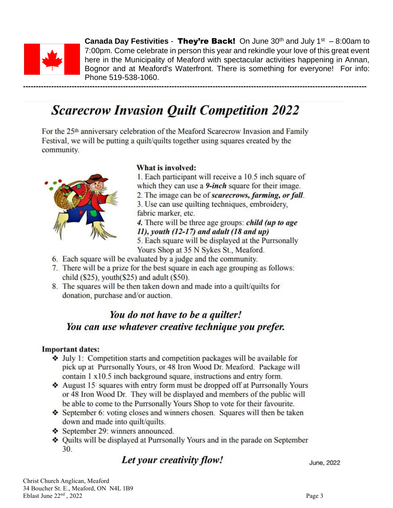

**Canada Day Festivities - They're Back!** On June 30<sup>th</sup> and July 1<sup>st</sup>  $-8.00$ am to 7:00pm. Come celebrate in person this year and rekindle your love of this great event here in the Municipality of Meaford with spectacular activities happening in Annan, Bognor and at Meaford's Waterfront. There is something for everyone! For info: Phone 519-538-1060.

# **Scarecrow Invasion Quilt Competition 2022**

For the 25<sup>th</sup> anniversary celebration of the Meaford Scarecrow Invasion and Family Festival, we will be putting a quilt/quilts together using squares created by the community.



### What is involved:

1. Each participant will receive a 10.5 inch square of which they can use a 9-inch square for their image. 2. The image can be of *scarecrows*, *farming*, *or fall*.

3. Use can use quilting techniques, embroidery, fabric marker, etc.

4. There will be three age groups: *child (up to age*)  $11$ , youth (12-17) and adult (18 and up) 5. Each square will be displayed at the Purrsonally

Yours Shop at 35 N Sykes St., Meaford.

- 6. Each square will be evaluated by a judge and the community.
- 7. There will be a prize for the best square in each age grouping as follows: child  $(\$25)$ , youth $(\$25)$  and adult  $(\$50)$ .
- 8. The squares will be then taken down and made into a quilt/quilts for donation, purchase and/or auction.

## You do not have to be a quilter! You can use whatever creative technique you prefer.

### **Important dates:**

- $\triangleleft$  July 1: Competition starts and competition packages will be available for pick up at Purrsonally Yours, or 48 Iron Wood Dr. Meaford. Package will contain 1 x10.5 inch background square, instructions and entry form.
- August 15 squares with entry form must be dropped off at Purrsonally Yours or 48 Iron Wood Dr. They will be displayed and members of the public will be able to come to the Purrsonally Yours Shop to vote for their favourite.
- September 6: voting closes and winners chosen. Squares will then be taken down and made into quilt/quilts.
- September 29: winners announced.
- ♦ Quilts will be displayed at Purrsonally Yours and in the parade on September 30.

### Let your creativity flow!

June, 2022